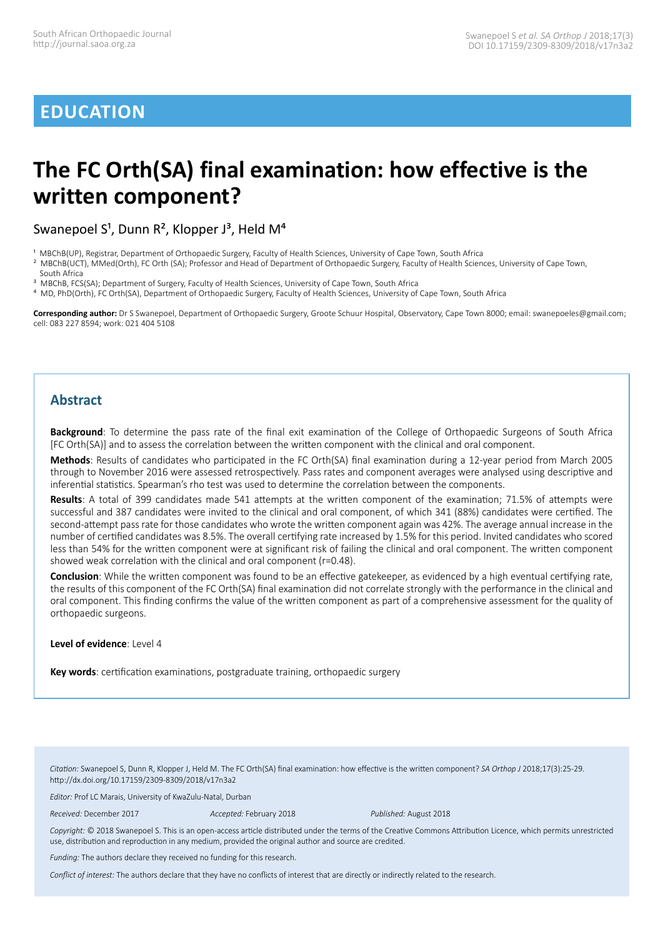## **EDUCATION**

# **The FC Orth(SA) final examination: how effective is the written component?**

Swanepoel  $S^1$ , Dunn R<sup>2</sup>, Klopper J<sup>3</sup>, Held M<sup>4</sup>

<sup>1</sup> MBChB(UP), Registrar, Department of Orthopaedic Surgery, Faculty of Health Sciences, University of Cape Town, South Africa

² MBChB(UCT), MMed(Orth), FC Orth (SA); Professor and Head of Department of Orthopaedic Surgery, Faculty of Health Sciences, University of Cape Town,

- <sup>3</sup> MBChB, FCS(SA); Department of Surgery, Faculty of Health Sciences, University of Cape Town, South Africa
- ⁴ MD, PhD(Orth), FC Orth(SA), Department of Orthopaedic Surgery, Faculty of Health Sciences, University of Cape Town, South Africa

**Corresponding author:** Dr S Swanepoel, Department of Orthopaedic Surgery, Groote Schuur Hospital, Observatory, Cape Town 8000; email: swanepoeles@gmail.com; cell: 083 227 8594; work: 021 404 5108

## **Abstract**

**Background**: To determine the pass rate of the final exit examination of the College of Orthopaedic Surgeons of South Africa [FC Orth(SA)] and to assess the correlation between the written component with the clinical and oral component.

**Methods**: Results of candidates who participated in the FC Orth(SA) final examination during a 12-year period from March 2005 through to November 2016 were assessed retrospectively. Pass rates and component averages were analysed using descriptive and inferential statistics. Spearman's rho test was used to determine the correlation between the components.

**Results**: A total of 399 candidates made 541 attempts at the written component of the examination; 71.5% of attempts were successful and 387 candidates were invited to the clinical and oral component, of which 341 (88%) candidates were certified. The second-attempt pass rate for those candidates who wrote the written component again was 42%. The average annual increase in the number of certified candidates was 8.5%. The overall certifying rate increased by 1.5% for this period. Invited candidates who scored less than 54% for the written component were at significant risk of failing the clinical and oral component. The written component showed weak correlation with the clinical and oral component (r=0.48).

**Conclusion**: While the written component was found to be an effective gatekeeper, as evidenced by a high eventual certifying rate, the results of this component of the FC Orth(SA) final examination did not correlate strongly with the performance in the clinical and oral component. This finding confirms the value of the written component as part of a comprehensive assessment for the quality of orthopaedic surgeons.

**Level of evidence**: Level 4

**Key words**: certification examinations, postgraduate training, orthopaedic surgery

*Citation:* Swanepoel S, Dunn R, Klopper J, Held M. The FC Orth(SA) final examination: how effective is the written component? *SA Orthop J* 2018;17(3):25-29. http://dx.doi.org/10.17159/2309-8309/2018/v17n3a2

*Editor:* Prof LC Marais, University of KwaZulu-Natal, Durban

*Received:* December 2017 *Accepted:* February 2018 *Published:* August 2018

*Copyright:* © 2018 Swanepoel S. This is an open-access article distributed under the terms of the Creative Commons Attribution Licence, which permits unrestricted use, distribution and reproduction in any medium, provided the original author and source are credited.

*Funding:* The authors declare they received no funding for this research.

*Conflict of interest:* The authors declare that they have no conflicts of interest that are directly or indirectly related to the research.

South Africa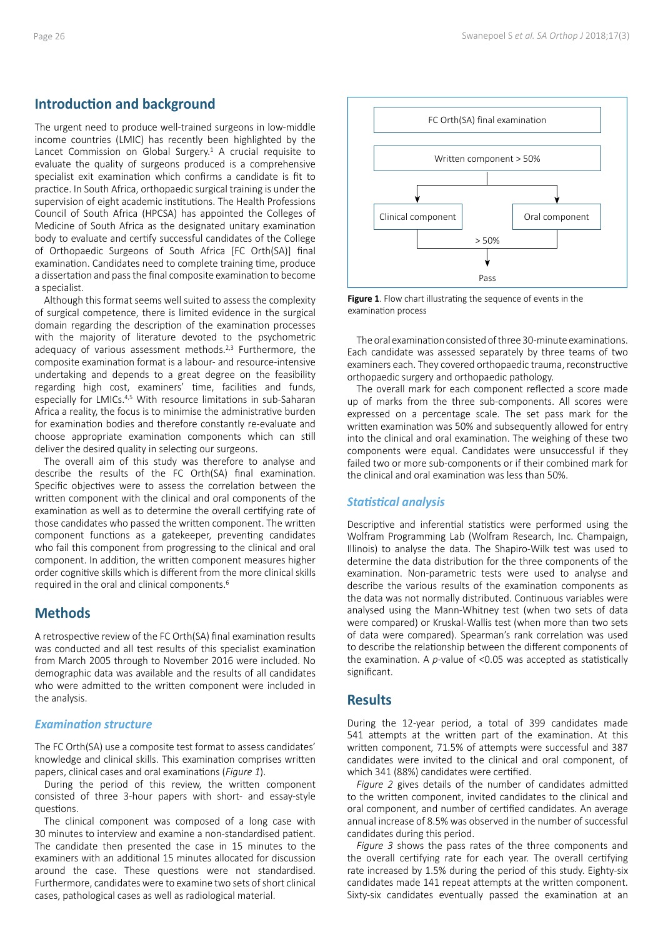## **Introduction and background**

The urgent need to produce well-trained surgeons in low-middle income countries (LMIC) has recently been highlighted by the Lancet Commission on Global Surgery.<sup>1</sup> A crucial requisite to evaluate the quality of surgeons produced is a comprehensive specialist exit examination which confirms a candidate is fit to practice. In South Africa, orthopaedic surgical training is under the supervision of eight academic institutions. The Health Professions Council of South Africa (HPCSA) has appointed the Colleges of Medicine of South Africa as the designated unitary examination body to evaluate and certify successful candidates of the College of Orthopaedic Surgeons of South Africa [FC Orth(SA)] final examination. Candidates need to complete training time, produce a dissertation and pass the final composite examination to become a specialist.

Although this format seems well suited to assess the complexity of surgical competence, there is limited evidence in the surgical domain regarding the description of the examination processes with the majority of literature devoted to the psychometric adequacy of various assessment methods.<sup>2,3</sup> Furthermore, the composite examination format is a labour- and resource-intensive undertaking and depends to a great degree on the feasibility regarding high cost, examiners' time, facilities and funds, especially for LMICs.<sup>4,5</sup> With resource limitations in sub-Saharan Africa a reality, the focus is to minimise the administrative burden for examination bodies and therefore constantly re-evaluate and choose appropriate examination components which can still deliver the desired quality in selecting our surgeons.

The overall aim of this study was therefore to analyse and describe the results of the FC Orth(SA) final examination. Specific objectives were to assess the correlation between the written component with the clinical and oral components of the examination as well as to determine the overall certifying rate of those candidates who passed the written component. The written component functions as a gatekeeper, preventing candidates who fail this component from progressing to the clinical and oral component. In addition, the written component measures higher order cognitive skills which is different from the more clinical skills required in the oral and clinical components.6

#### **Methods**

A retrospective review of the FC Orth(SA) final examination results was conducted and all test results of this specialist examination from March 2005 through to November 2016 were included. No demographic data was available and the results of all candidates who were admitted to the written component were included in the analysis.

#### *Examination structure*

The FC Orth(SA) use a composite test format to assess candidates' knowledge and clinical skills. This examination comprises written papers, clinical cases and oral examinations (*Figure 1*).

During the period of this review, the written component consisted of three 3-hour papers with short- and essay-style questions.

The clinical component was composed of a long case with 30 minutes to interview and examine a non-standardised patient. The candidate then presented the case in 15 minutes to the examiners with an additional 15 minutes allocated for discussion around the case. These questions were not standardised. Furthermore, candidates were to examine two sets of short clinical cases, pathological cases as well as radiological material.



**Figure 1**. Flow chart illustrating the sequence of events in the examination process

The oral examination consisted of three 30-minute examinations. Each candidate was assessed separately by three teams of two examiners each. They covered orthopaedic trauma, reconstructive orthopaedic surgery and orthopaedic pathology.

The overall mark for each component reflected a score made up of marks from the three sub-components. All scores were expressed on a percentage scale. The set pass mark for the written examination was 50% and subsequently allowed for entry into the clinical and oral examination. The weighing of these two components were equal. Candidates were unsuccessful if they failed two or more sub-components or if their combined mark for the clinical and oral examination was less than 50%.

#### *Statistical analysis*

Descriptive and inferential statistics were performed using the Wolfram Programming Lab (Wolfram Research, Inc. Champaign, Illinois) to analyse the data. The Shapiro-Wilk test was used to determine the data distribution for the three components of the examination. Non-parametric tests were used to analyse and describe the various results of the examination components as the data was not normally distributed. Continuous variables were analysed using the Mann-Whitney test (when two sets of data were compared) or Kruskal-Wallis test (when more than two sets of data were compared). Spearman's rank correlation was used to describe the relationship between the different components of the examination. A *p*-value of <0.05 was accepted as statistically significant.

## **Results**

During the 12-year period, a total of 399 candidates made 541 attempts at the written part of the examination. At this written component, 71.5% of attempts were successful and 387 candidates were invited to the clinical and oral component, of which 341 (88%) candidates were certified.

*Figure 2* gives details of the number of candidates admitted to the written component, invited candidates to the clinical and oral component, and number of certified candidates. An average annual increase of 8.5% was observed in the number of successful candidates during this period.

*Figure 3* shows the pass rates of the three components and the overall certifying rate for each year. The overall certifying rate increased by 1.5% during the period of this study. Eighty-six candidates made 141 repeat attempts at the written component. Sixty-six candidates eventually passed the examination at an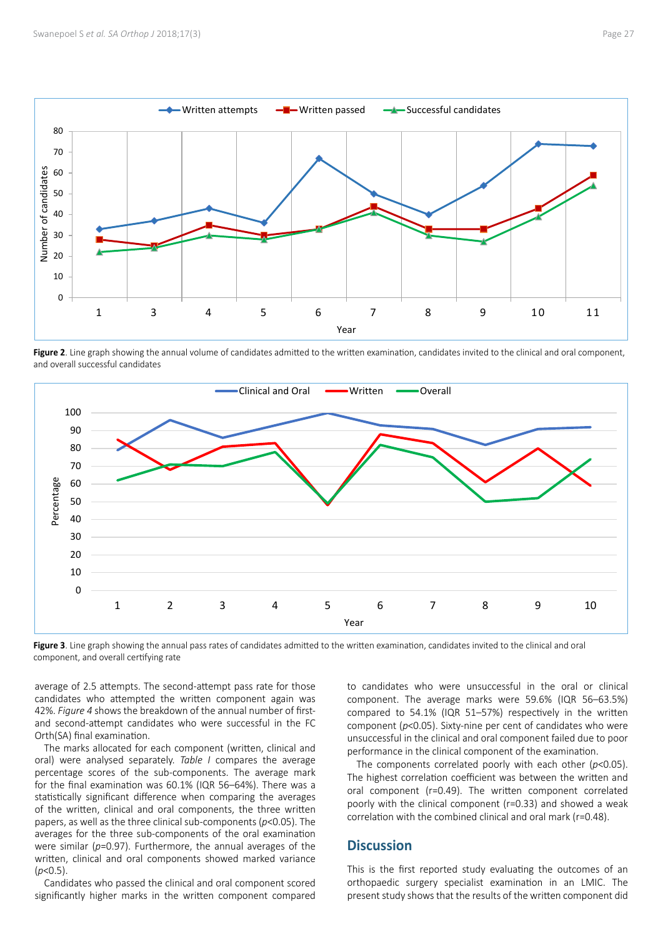

**Figure 2**. Line graph showing the annual volume of candidates admitted to the written examination, Figure 2. Line graph showing the annual volume of candidates admitted to the written examination, candidates invited to the clinical and oral component, and overall successful candidates



component, and overall certifying rate **of candidates and write annual participal participal participal over a Figure 3**. Line graph showing the annual pass rates of candidates admitted to the written examination, candidates invited to the clinical and oral

average of 2.5 attempts. The second-attempt pass rate for those candidates who attempted the written component again was 42%. *Figure 4* shows the breakdown of the annual number of firstand second-attempt candidates who were successful in the FC Orth(SA) final examination.

The marks allocated for each component (written, clinical and oral) were analysed separately. *Table I* compares the average percentage scores of the sub-components. The average mark for the final examination was 60.1% (IQR 56–64%). There was a statistically significant difference when comparing the averages of the written, clinical and oral components, the three written papers, as well as the three clinical sub-components (*p*<0.05). The averages for the three sub-components of the oral examination were similar (*p*=0.97). Furthermore, the annual averages of the written, clinical and oral components showed marked variance (*p*<0.5).

Candidates who passed the clinical and oral component scored significantly higher marks in the written component compared

to candidates who were unsuccessful in the oral or clinical component. The average marks were 59.6% (IQR 56–63.5%) compared to 54.1% (IQR 51–57%) respectively in the written component (*p*<0.05). Sixty-nine per cent of candidates who were unsuccessful in the clinical and oral component failed due to poor performance in the clinical component of the examination. examination, candidates invited to the clinical and oral component, and overall certifying rate

> The components correlated poorly with each other (*p*<0.05). The highest correlation coefficient was between the written and oral component (r=0.49). The written component correlated poorly with the clinical component (r=0.33) and showed a weak correlation with the combined clinical and oral mark (r=0.48).

## **Discussion**

This is the first reported study evaluating the outcomes of an orthopaedic surgery specialist examination in an LMIC. The present study shows that the results of the written component did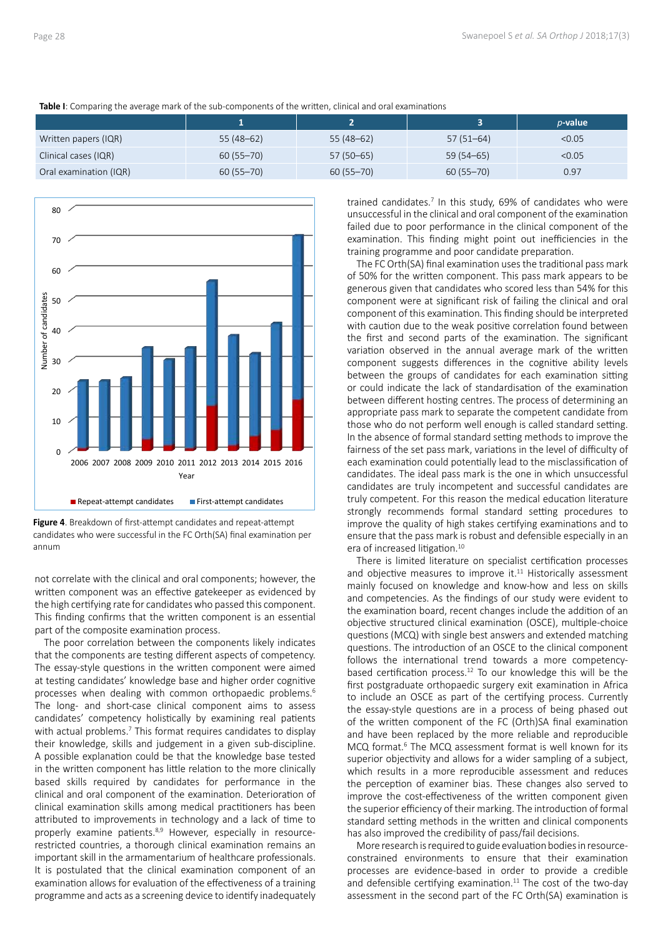|                        |               |               |               | $p$ -value |
|------------------------|---------------|---------------|---------------|------------|
| Written papers (IQR)   | $55(48-62)$   | $55(48-62)$   | $57(51-64)$   | < 0.05     |
| Clinical cases (IQR)   | $60(55 - 70)$ | $57(50-65)$   | $59(54-65)$   | < 0.05     |
| Oral examination (IQR) | $60(55 - 70)$ | $60(55 - 70)$ | $60(55 - 70)$ | 0.97       |





**Figure 4.** Breakdown of first-attempt candidates and repeat-attempt candidates and repeat-attempt candidates who were attended to the candidate of  $\theta$  at  $\theta$  and  $\theta$  and  $\theta$  and  $\theta$  and  $\theta$  and  $\theta$  and  $\theta$  and  $\theta$ candidates who were successful in the FC Orth(SA) final examination per **Figure 4**. Breakdown of first-attempt candidates and repeat-attempt annum

not correlate with the clinical and oral components; however, the written component was an effective gatekeeper as evidenced by the high certifying rate for candidates who passed this component. This finding confirms that the written component is an essential part of the composite examination process.

The poor correlation between the components likely indicates that the components are testing different aspects of competency. The essay-style questions in the written component were aimed at testing candidates' knowledge base and higher order cognitive processes when dealing with common orthopaedic problems.<sup>6</sup> The long- and short-case clinical component aims to assess candidates' competency holistically by examining real patients with actual problems.<sup>7</sup> This format requires candidates to display their knowledge, skills and judgement in a given sub-discipline. A possible explanation could be that the knowledge base tested in the written component has little relation to the more clinically based skills required by candidates for performance in the clinical and oral component of the examination. Deterioration of clinical examination skills among medical practitioners has been attributed to improvements in technology and a lack of time to properly examine patients.<sup>8,9</sup> However, especially in resourcerestricted countries, a thorough clinical examination remains an important skill in the armamentarium of healthcare professionals. It is postulated that the clinical examination component of an examination allows for evaluation of the effectiveness of a training programme and acts as a screening device to identify inadequately

trained candidates.<sup>7</sup> In this study, 69% of candidates who were unsuccessful in the clinical and oral component of the examination failed due to poor performance in the clinical component of the examination. This finding might point out inefficiencies in the training programme and poor candidate preparation.

The FC Orth(SA) final examination uses the traditional pass mark of 50% for the written component. This pass mark appears to be generous given that candidates who scored less than 54% for this component were at significant risk of failing the clinical and oral component of this examination. This finding should be interpreted with caution due to the weak positive correlation found between the first and second parts of the examination. The significant variation observed in the annual average mark of the written component suggests differences in the cognitive ability levels between the groups of candidates for each examination sitting or could indicate the lack of standardisation of the examination between different hosting centres. The process of determining an appropriate pass mark to separate the competent candidate from those who do not perform well enough is called standard setting. In the absence of formal standard setting methods to improve the fairness of the set pass mark, variations in the level of difficulty of each examination could potentially lead to the misclassification of candidates. The ideal pass mark is the one in which unsuccessful candidates are truly incompetent and successful candidates are truly competent. For this reason the medical education literature strongly recommends formal standard setting procedures to improve the quality of high stakes certifying examinations and to ensure that the pass mark is robust and defensible especially in an era of increased litigation.<sup>10</sup>

There is limited literature on specialist certification processes and objective measures to improve it. $11$  Historically assessment mainly focused on knowledge and know-how and less on skills and competencies. As the findings of our study were evident to the examination board, recent changes include the addition of an objective structured clinical examination (OSCE), multiple-choice questions (MCQ) with single best answers and extended matching questions. The introduction of an OSCE to the clinical component follows the international trend towards a more competencybased certification process.<sup>12</sup> To our knowledge this will be the first postgraduate orthopaedic surgery exit examination in Africa to include an OSCE as part of the certifying process. Currently the essay-style questions are in a process of being phased out of the written component of the FC (Orth)SA final examination and have been replaced by the more reliable and reproducible MCQ format.6 The MCQ assessment format is well known for its superior objectivity and allows for a wider sampling of a subject, which results in a more reproducible assessment and reduces the perception of examiner bias. These changes also served to improve the cost-effectiveness of the written component given the superior efficiency of their marking. The introduction of formal standard setting methods in the written and clinical components has also improved the credibility of pass/fail decisions.

More research is required to guide evaluation bodies in resourceconstrained environments to ensure that their examination processes are evidence-based in order to provide a credible and defensible certifying examination. $11$  The cost of the two-day assessment in the second part of the FC Orth(SA) examination is